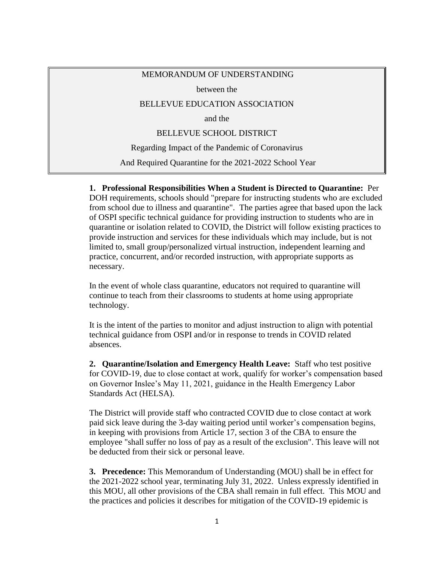## MEMORANDUM OF UNDERSTANDING

between the

## BELLEVUE EDUCATION ASSOCIATION

and the

## BELLEVUE SCHOOL DISTRICT

Regarding Impact of the Pandemic of Coronavirus

And Required Quarantine for the 2021-2022 School Year

**1. Professional Responsibilities When a Student is Directed to Quarantine:** Per DOH requirements, schools should "prepare for instructing students who are excluded from school due to illness and quarantine". The parties agree that based upon the lack of OSPI specific technical guidance for providing instruction to students who are in quarantine or isolation related to COVID, the District will follow existing practices to provide instruction and services for these individuals which may include, but is not limited to, small group/personalized virtual instruction, independent learning and practice, concurrent, and/or recorded instruction, with appropriate supports as necessary.

In the event of whole class quarantine, educators not required to quarantine will continue to teach from their classrooms to students at home using appropriate technology.

It is the intent of the parties to monitor and adjust instruction to align with potential technical guidance from OSPI and/or in response to trends in COVID related absences.

**2. Quarantine/Isolation and Emergency Health Leave:** Staff who test positive for COVID-19, due to close contact at work, qualify for worker's compensation based on Governor Inslee's May 11, 2021, guidance in the Health Emergency Labor Standards Act (HELSA).

The District will provide staff who contracted COVID due to close contact at work paid sick leave during the 3-day waiting period until worker's compensation begins, in keeping with provisions from Article 17, section 3 of the CBA to ensure the employee "shall suffer no loss of pay as a result of the exclusion". This leave will not be deducted from their sick or personal leave.

**3. Precedence:** This Memorandum of Understanding (MOU) shall be in effect for the 2021-2022 school year, terminating July 31, 2022. Unless expressly identified in this MOU, all other provisions of the CBA shall remain in full effect. This MOU and the practices and policies it describes for mitigation of the COVID-19 epidemic is